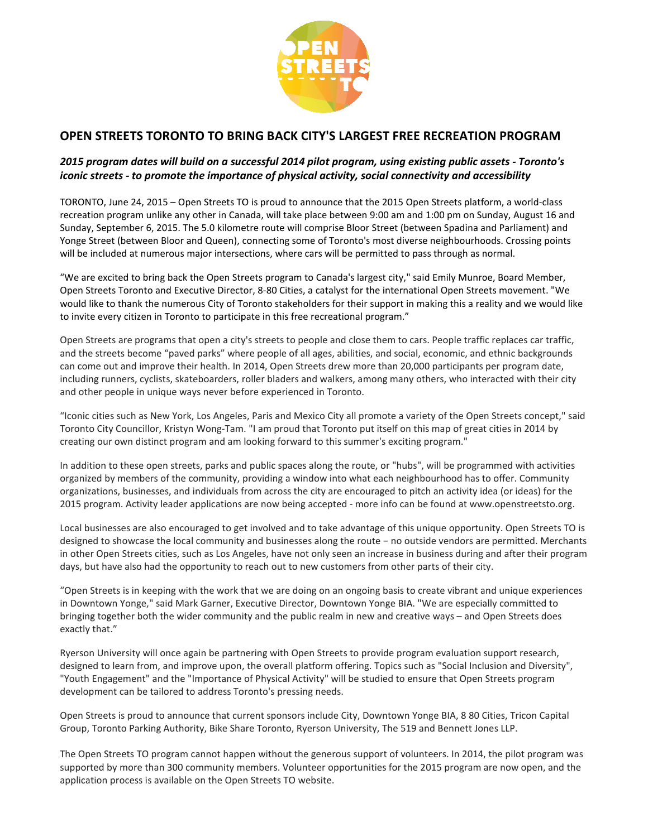

## **OPEN STREETS TORONTO TO BRING BACK BRING BACK CITY'S LARGEST FREE RECREATION PROGRAM**

## 2015 program dates will build on a successful 2014 pilot program, using existing public assets iconic streets - to promote the importance of physical activity, social connectivity and accessibility

TORONTO, June 24, 2015 – Open Streets TO is proud to announce that the 2015 Open Streets platform latform, a world-class recreation program unlike any other in Canada, will take place between 9:00 am and 1:00 pm on Sunday, August 16 and Sunday, September 6, 2015. The 5.0 kilometre route will comprise Bloor Street (between Spadina and Parliament) and Yonge Street (between Bloor and Queen), connecting some of Toronto's most diverse neighbourhoods. Crossing points<br>will be included at numerous major intersections, where cars will be permitted to pass through as normal. will be included at numerous major intersections, where cars will be permitted to pass through as normal.

"We are excited to bring back the Open Streets program to Canada's largest city," said Emily Munroe, Board Member, Open Streets Toronto and Executive Director, 8-80 Cities, a catalyst for the international Open Streets movement. "We would like to thank the numerous City of Toronto stakeholders for their support in making this a reality and we would like to invite every citizen in Toronto to participate in this free recreational program."

Open Streets are programs that open a city's streets to people and close them to cars. People traffic replaces car traffic, Open Streets are programs that open a city's streets to people and close them to cars. People traffic replaces car traffic,<br>and the streets become "paved parks" where people of all ages, abilities, and social, economic, an can come out and improve their health. In 2014, Open Streets drew more than 20,000 participants per program date, including runners, cyclists, skateboarders, roller bladers and walkers, among many others, who interacted with their city<br>and other people in unique ways never before experienced in Toronto. and other people in unique ways never before experienced in Toronto. CK CITY'S LARGEST FREE RECREATION PROGRAM<br>
2014 pilot program, using existing public assets - Toronto's<br>
2014 pilot program, using existing public assets - Toronto's<br>
2014 pilot program, using existing public assets - Toro

"Iconic cities such as New York, Los Angeles, Paris and Mexico City all promote a variety of the Open Streets concept," said "Iconic cities such as New York, Los Angeles, Paris and Mexico City all promote a variety of the Open Streets concept,<br>Toronto City Councillor, Kristyn Wong-Tam. "I am proud that Toronto put itself on this map of great cit creating our own distinct program and am looking forward to this summer's exciting program."

In addition to these open streets, parks and public spaces along the route, or "hubs", will be programmed with activities organized by members of the community, providing a window into what each neighbourhood has to offer. Community organized by members of the community, providing a window into what each neighbourhood has to offer. Community<br>organizations, businesses, and individuals from across the city are encouraged to pitch an activity idea (or id 2015 program. Activity leader applications are now being accepted - more info can be found at www.openstreetsto.org. iis map of great cities in 2014 by<br>program."<br>, will be programmed with activities<br>bourhood has to offer. Community

Local businesses are also encouraged to get involved and to take advantage of this unique opportunity. Open Streets TO is designed to showcase the local community and businesses along the route − no outside vendors are permitted. Merchants in other Open Streets cities, such as Los Angeles, have not only seen an increase in business during and after the their program days, but have also had the opportunity to reach out to new customers from other parts of their city.

"Open Streets is in keeping with the work that we are doing on an ongoing basis to create vibrant and unique experiences in other Open Streets cities, such as Los Angeles, have not only seen an increase in business during and after their products, they said Mark Garner, the over the reach out to new customers from other parts of their city.<br> bringing together both the wider community and the public realm in new and creative ways - and Open Streets does exactly that."

Ryerson University will once again be partnering with Open Streets to provide program evaluation support research, designed to learn from, and improve upon, the overall platform offering. Topics such as "Social Inclusion and Diversity", "Youth Engagement" and the "Importance of Physical Activity" will be studied to ensure that Open Streets program development can be tailored to address Toronto's pressing needs. "Youth Engagement" and the "Importance of Physical Activity" will be studied to ensure that Open Street<br>development can be tailored to address Toronto's pressing needs.<br>Open Streets is proud to announce that current sponso n Yonge BIA. "We are especially committed to<br>ew and creative ways – and Open Streets does<br>provide program evaluation support research,<br>ng. Topics such as "Social Inclusion and Diversity",<br>studied to ensure that Open Street

Group, Toronto Parking Authority, Bike Share Toronto, Ryerson University, The 519 and Bennett Jones LLP.

The Open Streets TO program cannot happen without the generous support of volunteers. In 2014, the pilot program was supported by more than 300 community members. Volunteer opportunities for the 2015 program are now open, and the application process is available on the Open Streets TO website.